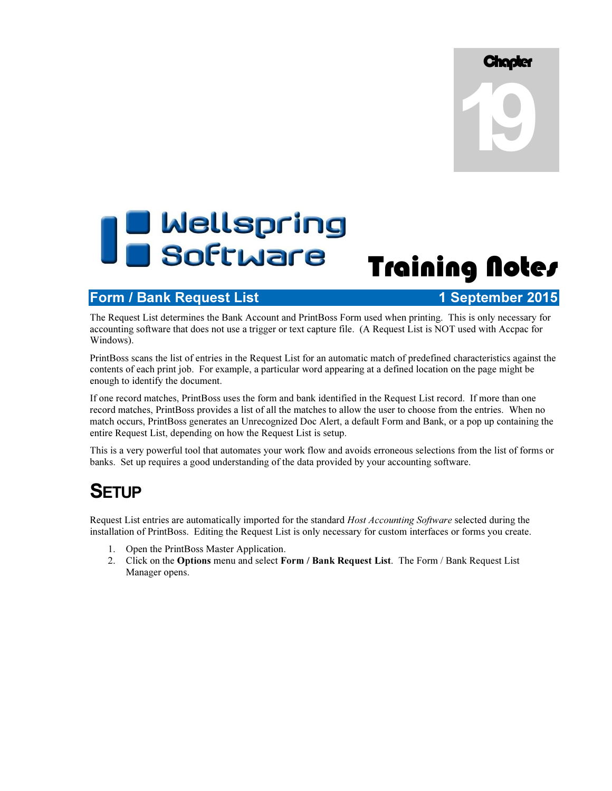# **Chapter Chapter**

# D Wellspring<br>D Software Training Notes

# Form / Bank Request List 1 September 2015

The Request List determines the Bank Account and PrintBoss Form used when printing. This is only necessary for accounting software that does not use a trigger or text capture file. (A Request List is NOT used with Accpac for Windows).

PrintBoss scans the list of entries in the Request List for an automatic match of predefined characteristics against the contents of each print job. For example, a particular word appearing at a defined location on the page might be enough to identify the document.

If one record matches, PrintBoss uses the form and bank identified in the Request List record. If more than one record matches, PrintBoss provides a list of all the matches to allow the user to choose from the entries. When no match occurs, PrintBoss generates an Unrecognized Doc Alert, a default Form and Bank, or a pop up containing the entire Request List, depending on how the Request List is setup.

This is a very powerful tool that automates your work flow and avoids erroneous selections from the list of forms or banks. Set up requires a good understanding of the data provided by your accounting software.

# **SETUP**

Request List entries are automatically imported for the standard Host Accounting Software selected during the installation of PrintBoss. Editing the Request List is only necessary for custom interfaces or forms you create.

- 1. Open the PrintBoss Master Application.
- 2. Click on the Options menu and select Form / Bank Request List. The Form / Bank Request List Manager opens.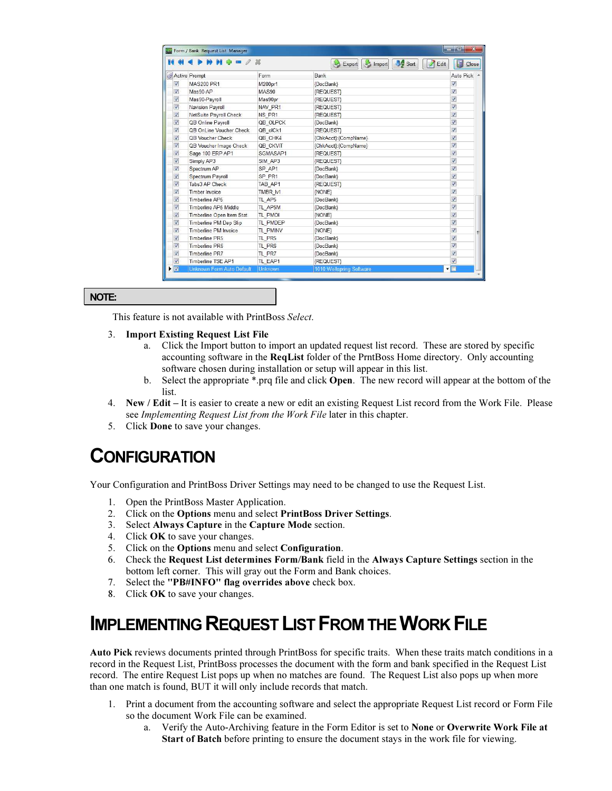| R                        | $M + 2X$                  |          | <b>Sort</b><br>Export<br>Import<br>Edit | 5<br>Close              |
|--------------------------|---------------------------|----------|-----------------------------------------|-------------------------|
|                          | Active Prompt             | Form     | Bank                                    | Auto Pick               |
| V                        | <b>MAS200 PR1</b>         | M200pr1  | {DocBank}                               | ⊽                       |
| $\overline{\mathbf{v}}$  | Mas90-AP                  | MAS90    | <b>{REQUEST}</b>                        | $\overline{v}$          |
| V                        | Mas90-Payroll             | Mas90pr  | {REQUEST}                               | $\overline{\mathbf{v}}$ |
| $\overline{\mathcal{G}}$ | Navision Payroll          | NAV PR1  | {REQUEST}                               | $\overline{v}$          |
| $\overline{v}$           | NetSuite Payroll Check    | NS PR1   | {REQUEST}                               | $\overline{v}$          |
| Ø                        | QB Online Payroll         | QB OLPCK | {DocBank}                               | V                       |
| $\overline{v}$           | OB OnLine Voucher Check   | QB olCk1 | <b>(REQUEST)</b>                        | $\overline{v}$          |
| Ø                        | QB Voucher Check          | QB CHK4  | {ChkAcct}:{CompName}                    | V                       |
| $\overline{\mathbf{v}}$  | QB Voucher Image Check    | QB CKVIT | {ChkAcct}:{CompName}                    | $\overline{v}$          |
| $\overline{\mathcal{G}}$ | Sage 100 ERP AP1          | SGMASAP1 | <b>{REQUEST}</b>                        | $\overline{v}$          |
| V                        | Simply AP3                | SIM AP3  | {REQUEST}                               | V                       |
| $\overline{\mathcal{G}}$ | Spectrum AP               | SP AP1   | {DocBank}                               | $\overline{J}$          |
| $\overline{v}$           | Spectrum Payroll          | SP PR1   | {DocBank}                               | $\overline{v}$          |
| V                        | Tabs3 AP Check            | TAB AP1  | <b>REQUEST</b>                          | $\overline{v}$          |
| $\overline{v}$           | Timber Invoice            | TMBR M   | {NONE}                                  | $\overline{v}$          |
| Ø                        | Timberline AP5            | TL AP5   | {DocBank}                               | V                       |
| $\overline{v}$           | Timberline AP5 Middle     | TL AP5M  | {DocBank}                               | $\overline{v}$          |
| Ø                        | Timberline Open Item Stat | TL PMOI  | {NONE}                                  | $\overline{v}$          |
| V                        | Timberline PM Dep Slip    | TL PMDEP | {DocBank}                               | V                       |
| $\overline{\mathbf{v}}$  | Timberline PM Invoice     | TL PMINV | {NONE}                                  | $\overline{v}$          |
| V                        | Timberline PR5            | TL PR5   | {DocBank}                               | V                       |
| V                        | <b>Timberline PR6</b>     | TL PR6   | {DocBank}                               | $\overline{v}$          |
| V                        | Timberline PR7            | TL PR7   | {DocBank}                               | $\overline{v}$          |
| Ø                        | Timberline TSE AP1        | TL EAP1  | <b><i>REQUEST</i></b>                   | $\overline{v}$          |

## NOTE:

This feature is not available with PrintBoss Select.

#### 3. Import Existing Request List File

- a. Click the Import button to import an updated request list record. These are stored by specific accounting software in the ReqList folder of the PrntBoss Home directory. Only accounting software chosen during installation or setup will appear in this list.
- b. Select the appropriate \*.prq file and click Open. The new record will appear at the bottom of the list.
- 4. New / Edit It is easier to create a new or edit an existing Request List record from the Work File. Please see Implementing Request List from the Work File later in this chapter.
- 5. Click Done to save your changes.

# **CONFIGURATION**

Your Configuration and PrintBoss Driver Settings may need to be changed to use the Request List.

- 1. Open the PrintBoss Master Application.
- 2. Click on the Options menu and select PrintBoss Driver Settings.
- 3. Select Always Capture in the Capture Mode section.
- 4. Click OK to save your changes.
- 5. Click on the Options menu and select Configuration.
- 6. Check the Request List determines Form/Bank field in the Always Capture Settings section in the bottom left corner. This will gray out the Form and Bank choices.
- 7. Select the "PB#INFO" flag overrides above check box.
- 8. Click OK to save your changes.

# IMPLEMENTING REQUEST LIST FROM THE WORK FILE

Auto Pick reviews documents printed through PrintBoss for specific traits. When these traits match conditions in a record in the Request List, PrintBoss processes the document with the form and bank specified in the Request List record. The entire Request List pops up when no matches are found. The Request List also pops up when more than one match is found, BUT it will only include records that match.

- 1. Print a document from the accounting software and select the appropriate Request List record or Form File so the document Work File can be examined.
	- a. Verify the Auto-Archiving feature in the Form Editor is set to None or Overwrite Work File at Start of Batch before printing to ensure the document stays in the work file for viewing.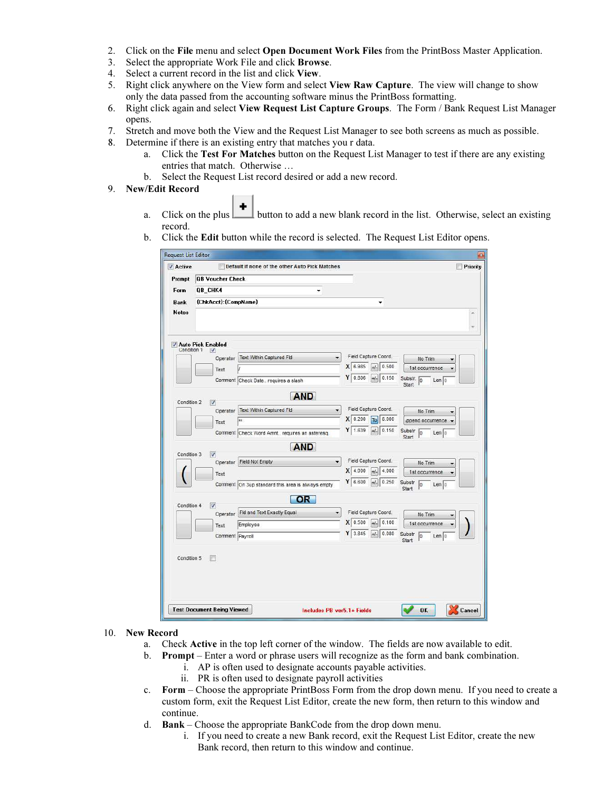- 2. Click on the File menu and select Open Document Work Files from the PrintBoss Master Application.
- 3. Select the appropriate Work File and click Browse.
- 4. Select a current record in the list and click View.
- 5. Right click anywhere on the View form and select View Raw Capture. The view will change to show only the data passed from the accounting software minus the PrintBoss formatting.
- 6. Right click again and select View Request List Capture Groups. The Form / Bank Request List Manager opens.
- 7. Stretch and move both the View and the Request List Manager to see both screens as much as possible.
- 8. Determine if there is an existing entry that matches you r data.
	- a. Click the Test For Matches button on the Request List Manager to test if there are any existing entries that match. Otherwise …
	- b. Select the Request List record desired or add a new record.

#### 9. New/Edit Record

- a. Click on the plus button to add a new blank record in the list. Otherwise, select an existing record.
- b. Click the Edit button while the record is selected. The Request List Editor opens.

| Active                      | <b>Request List Editor</b>             | Default if none of the other Auto Pick Matches     |                               | $\mathbf{z}$<br>Priority                |  |  |
|-----------------------------|----------------------------------------|----------------------------------------------------|-------------------------------|-----------------------------------------|--|--|
| Prompt                      |                                        |                                                    |                               |                                         |  |  |
| Form                        | <b>QB Voucher Check</b>                |                                                    |                               |                                         |  |  |
|                             | QB_CHK4<br>۰<br>{ChkAcct}: {CompName}  |                                                    |                               |                                         |  |  |
| <b>Bank</b><br><b>Notes</b> |                                        |                                                    | ٠                             |                                         |  |  |
|                             |                                        |                                                    |                               |                                         |  |  |
| Condition 1                 | <b><i>V</i></b> Auto Pick Enabled<br>V |                                                    |                               |                                         |  |  |
|                             | Operator                               | <b>Text Within Captured Fld</b>                    | Field Capture Coord.          | No Trim                                 |  |  |
|                             | Text                                   |                                                    | X 6.985<br>0.500<br>$+/-$     | 1st occurrence                          |  |  |
|                             |                                        | Comment Check Date requires a slash                | Y۱<br>0.806<br>0.150<br>$+1-$ | Substr. 0<br>Len 0<br>Start             |  |  |
| Condition 2                 | V                                      | <b>AND</b>                                         |                               |                                         |  |  |
|                             | Operator                               | <b>Text Within Captured Fld</b>                    | Field Capture Coord.          | No Trim                                 |  |  |
|                             | Text                                   | xx                                                 | 8.000<br>X 0.200<br>To        | ppend occurrence .                      |  |  |
|                             |                                        | Comment Check Word Amnt requires an asteresq.      | 0.150<br>ΥI<br>1.639<br>$+/-$ | Substr<br>$ 0\rangle$<br>Len 0<br>Start |  |  |
|                             |                                        | <b>AND</b>                                         |                               |                                         |  |  |
| Condition 3                 | V<br>Operator                          | Field Not Empty                                    | Field Capture Coord.<br>۰     | No Trim                                 |  |  |
|                             | Text                                   |                                                    | X 4.000<br>4.000<br>+/-       | 1st occurrence                          |  |  |
|                             |                                        | Comment  On 3up standard this area is always empty | 6.600<br>0.250<br>Y١<br>$+/-$ | Substr<br>lо<br>Len 10<br>Start         |  |  |
| Condition 4                 | V                                      | <b>OR</b>                                          |                               |                                         |  |  |
|                             | Operator                               | Fid and Text Exactly Equal                         | Field Capture Coord.          | No Trim                                 |  |  |
|                             | Text                                   | Employee                                           | X 0.500<br>0.100<br>$+1-$     | 1st occurrence                          |  |  |
|                             | Comment Payroll                        |                                                    | Y<br>0.080<br>3.845<br>$+/-$  | Substr<br>łо<br>Len 0<br>Start          |  |  |
|                             |                                        |                                                    |                               |                                         |  |  |
| Condition 5                 |                                        |                                                    |                               |                                         |  |  |
|                             |                                        |                                                    |                               |                                         |  |  |
|                             |                                        |                                                    |                               |                                         |  |  |
|                             | <b>Test Document Being Viewed</b>      |                                                    | Includes PB ver5.1+ Fields    | 0K<br>Cancel                            |  |  |

- 10. New Record
	- a. Check Active in the top left corner of the window. The fields are now available to edit.
	- b. Prompt Enter a word or phrase users will recognize as the form and bank combination.
		- i. AP is often used to designate accounts payable activities.
		- ii. PR is often used to designate payroll activities
	- c. Form Choose the appropriate PrintBoss Form from the drop down menu. If you need to create a custom form, exit the Request List Editor, create the new form, then return to this window and continue.
	- d. Bank Choose the appropriate BankCode from the drop down menu.
		- i. If you need to create a new Bank record, exit the Request List Editor, create the new Bank record, then return to this window and continue.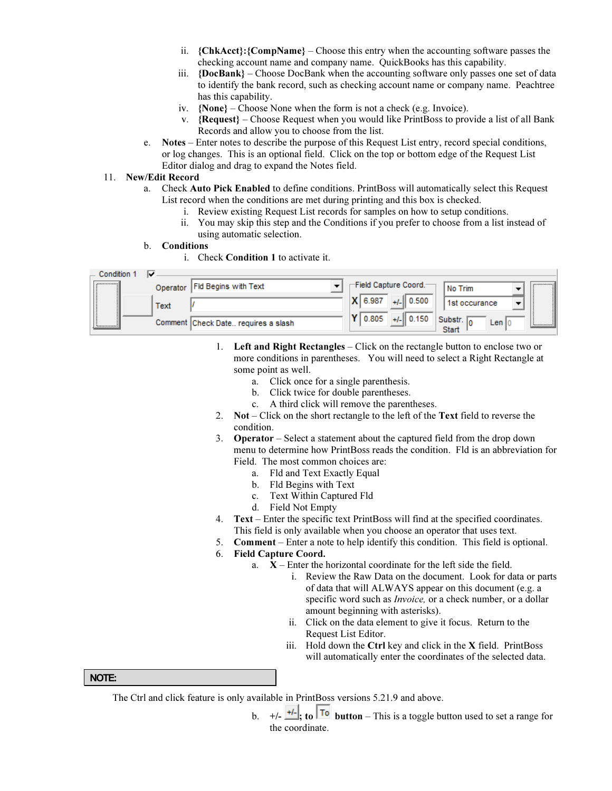- ii. {ChkAcct}:{CompName} Choose this entry when the accounting software passes the checking account name and company name. QuickBooks has this capability.
- iii.  $\{DocBank\}$  Choose DocBank when the accounting software only passes one set of data to identify the bank record, such as checking account name or company name. Peachtree has this capability.
- iv. {None} Choose None when the form is not a check (e.g. Invoice).
- v. {Request} Choose Request when you would like PrintBoss to provide a list of all Bank Records and allow you to choose from the list.
- e. Notes Enter notes to describe the purpose of this Request List entry, record special conditions, or log changes. This is an optional field. Click on the top or bottom edge of the Request List Editor dialog and drag to expand the Notes field.

#### 11. New/Edit Record

- a. Check Auto Pick Enabled to define conditions. PrintBoss will automatically select this Request List record when the conditions are met during printing and this box is checked.
	- i. Review existing Request List records for samples on how to setup conditions.
	- ii. You may skip this step and the Conditions if you prefer to choose from a list instead of using automatic selection.
- b. Conditions
	- i. Check Condition 1 to activate it.

| Condition      | ☞        |                                     |                   |                        |                  |  |       |                |
|----------------|----------|-------------------------------------|-------------------|------------------------|------------------|--|-------|----------------|
|                | Operator | <b>Fid Begins with Text</b>         |                   | -Field Capture Coord.- | No Trim          |  |       | ,,,,,,,,,,,,,, |
|                | Text     |                                     | X 6.987<br>10.500 |                        | 1st occurance    |  |       |                |
| ************** |          | Comment Check Date requires a slash | 0.805             | $+/-$ 0.150            | Substr.<br>Start |  | Len I | ************** |

- 1. Left and Right Rectangles Click on the rectangle button to enclose two or more conditions in parentheses. You will need to select a Right Rectangle at some point as well.
	- a. Click once for a single parenthesis.
	- b. Click twice for double parentheses.
	- c. A third click will remove the parentheses.
- 2. Not Click on the short rectangle to the left of the Text field to reverse the condition.
- 3. Operator Select a statement about the captured field from the drop down menu to determine how PrintBoss reads the condition. Fld is an abbreviation for Field. The most common choices are:
	- a. Fld and Text Exactly Equal
	- b. Fld Begins with Text
	- c. Text Within Captured Fld
	- d. Field Not Empty
- 4. Text Enter the specific text PrintBoss will find at the specified coordinates. This field is only available when you choose an operator that uses text.
- 5. Comment Enter a note to help identify this condition. This field is optional.

## 6. Field Capture Coord.

- a. X Enter the horizontal coordinate for the left side the field.
	- i. Review the Raw Data on the document. Look for data or parts of data that will ALWAYS appear on this document (e.g. a specific word such as *Invoice*, or a check number, or a dollar amount beginning with asterisks).
	- ii. Click on the data element to give it focus. Return to the Request List Editor.
	- iii. Hold down the Ctrl key and click in the X field. PrintBoss will automatically enter the coordinates of the selected data.

## NOTE:

The Ctrl and click feature is only available in PrintBoss versions 5.21.9 and above.

b.  $+/ +/-$ , to  $\boxed{To}$  button – This is a toggle button used to set a range for the coordinate.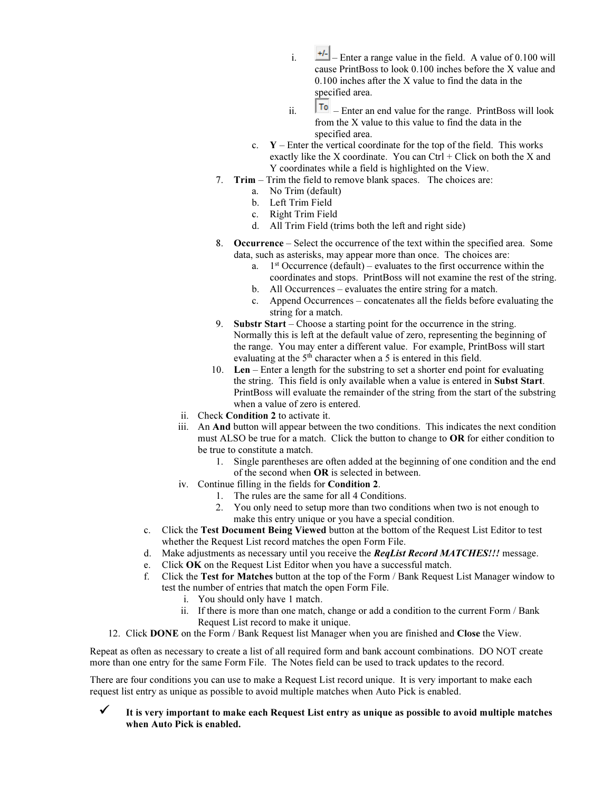- i.  $\frac{+1}{2}$  Enter a range value in the field. A value of 0.100 will cause PrintBoss to look 0.100 inches before the X value and 0.100 inches after the X value to find the data in the specified area.
- ii.  $|\mathbf{I} \cdot \mathbf{I}|$  Enter an end value for the range. PrintBoss will look from the X value to this value to find the data in the specified area.
- c.  $Y$  Enter the vertical coordinate for the top of the field. This works exactly like the X coordinate. You can  $Ctrl + Click$  on both the X and Y coordinates while a field is highlighted on the View.
- 7. Trim Trim the field to remove blank spaces. The choices are:
	- a. No Trim (default)
		- b. Left Trim Field
		- c. Right Trim Field
		- d. All Trim Field (trims both the left and right side)
- 8. Occurrence Select the occurrence of the text within the specified area. Some data, such as asterisks, may appear more than once. The choices are:
	- a.  $1<sup>st</sup>$  Occurrence (default) evaluates to the first occurrence within the coordinates and stops. PrintBoss will not examine the rest of the string.
	- b. All Occurrences evaluates the entire string for a match.
	- c. Append Occurrences concatenates all the fields before evaluating the string for a match.
- 9. Substr Start Choose a starting point for the occurrence in the string. Normally this is left at the default value of zero, representing the beginning of the range. You may enter a different value. For example, PrintBoss will start evaluating at the 5<sup>th</sup> character when a 5 is entered in this field.
- 10. Len Enter a length for the substring to set a shorter end point for evaluating the string. This field is only available when a value is entered in Subst Start. PrintBoss will evaluate the remainder of the string from the start of the substring when a value of zero is entered.
- ii. Check Condition 2 to activate it.
- iii. An And button will appear between the two conditions. This indicates the next condition must ALSO be true for a match. Click the button to change to OR for either condition to be true to constitute a match.
	- 1. Single parentheses are often added at the beginning of one condition and the end of the second when OR is selected in between.
- iv. Continue filling in the fields for Condition 2.
	- 1. The rules are the same for all 4 Conditions.
	- 2. You only need to setup more than two conditions when two is not enough to make this entry unique or you have a special condition.
- c. Click the Test Document Being Viewed button at the bottom of the Request List Editor to test whether the Request List record matches the open Form File.
- d. Make adjustments as necessary until you receive the **ReqList Record MATCHES!!!** message.
- e. Click OK on the Request List Editor when you have a successful match.
- f. Click the Test for Matches button at the top of the Form / Bank Request List Manager window to test the number of entries that match the open Form File.
	- i. You should only have 1 match.
	- ii. If there is more than one match, change or add a condition to the current Form / Bank Request List record to make it unique.
- 12. Click DONE on the Form / Bank Request list Manager when you are finished and Close the View.

Repeat as often as necessary to create a list of all required form and bank account combinations. DO NOT create more than one entry for the same Form File. The Notes field can be used to track updates to the record.

There are four conditions you can use to make a Request List record unique. It is very important to make each request list entry as unique as possible to avoid multiple matches when Auto Pick is enabled.

 It is very important to make each Request List entry as unique as possible to avoid multiple matches when Auto Pick is enabled.